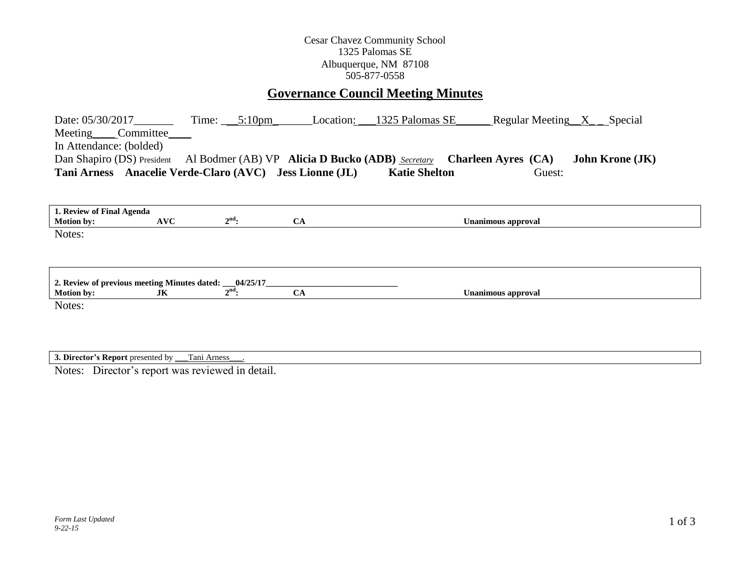## Cesar Chavez Community School 1325 Palomas SE Albuquerque, NM 87108 505-877-0558

# **Governance Council Meeting Minutes**

| Date: 05/30/2017<br>Meeting Committee                                                                                                      | Time: $5:10 \text{pm}$ | Location: | 1325 Palomas SE<br>Regular Meeting $X$ Special |  |  |  |
|--------------------------------------------------------------------------------------------------------------------------------------------|------------------------|-----------|------------------------------------------------|--|--|--|
| In Attendance: (bolded)                                                                                                                    |                        |           |                                                |  |  |  |
| Dan Shapiro (DS) President Al Bodmer (AB) VP <b>Alicia D Bucko (ADB)</b> Secretary<br><b>Charleen Ayres (CA)</b><br><b>John Krone (JK)</b> |                        |           |                                                |  |  |  |
| Tani Arness Anacelie Verde-Claro (AVC) Jess Lionne (JL)<br><b>Katie Shelton</b><br>Guest:                                                  |                        |           |                                                |  |  |  |
|                                                                                                                                            |                        |           |                                                |  |  |  |
| 1. Review of Final Agenda                                                                                                                  |                        |           |                                                |  |  |  |
| <b>AVC</b><br><b>Motion by:</b>                                                                                                            | $2nd$ :                | <b>CA</b> | Unanimous approval                             |  |  |  |
| Notes:                                                                                                                                     |                        |           |                                                |  |  |  |
|                                                                                                                                            |                        |           |                                                |  |  |  |
|                                                                                                                                            |                        |           |                                                |  |  |  |
|                                                                                                                                            |                        |           |                                                |  |  |  |
| 2. Review of previous meeting Minutes dated: __04/25/17_<br><b>Motion by:</b><br>JK                                                        | $2^{\text{nd}}$ :      | <b>CA</b> | <b>Unanimous approval</b>                      |  |  |  |
| Notes:                                                                                                                                     |                        |           |                                                |  |  |  |
|                                                                                                                                            |                        |           |                                                |  |  |  |
|                                                                                                                                            |                        |           |                                                |  |  |  |
|                                                                                                                                            |                        |           |                                                |  |  |  |

**3. Director's Report** presented by \_\_\_Tani Arness\_\_\_.

Notes: Director's report was reviewed in detail.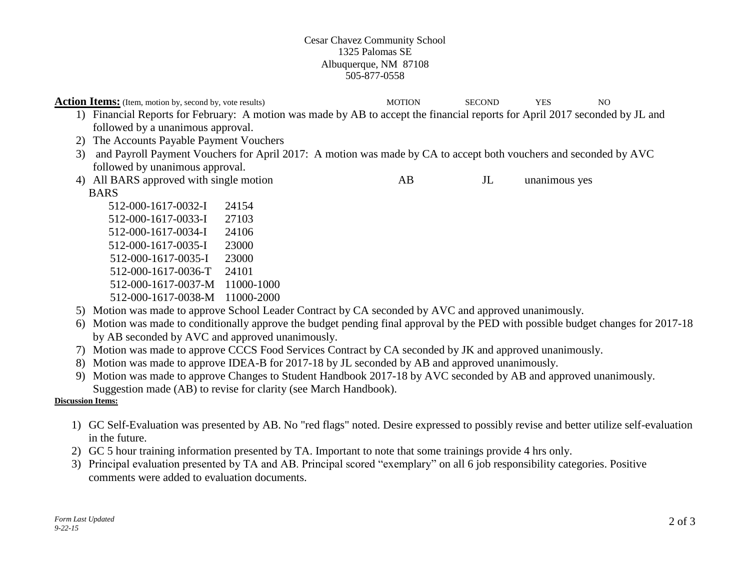### Cesar Chavez Community School 1325 Palomas SE Albuquerque, NM 87108 505-877-0558

|    | <b>Action Items:</b> (Item, motion by, second by, vote results)                                                              |                                                                                                                                   |     | <b>SECOND</b>  | <b>YES</b>    | N <sub>O</sub> |  |
|----|------------------------------------------------------------------------------------------------------------------------------|-----------------------------------------------------------------------------------------------------------------------------------|-----|----------------|---------------|----------------|--|
|    | 1) Financial Reports for February: A motion was made by AB to accept the financial reports for April 2017 seconded by JL and |                                                                                                                                   |     |                |               |                |  |
|    | followed by a unanimous approval.                                                                                            |                                                                                                                                   |     |                |               |                |  |
| 2) | The Accounts Payable Payment Vouchers                                                                                        |                                                                                                                                   |     |                |               |                |  |
| 3) |                                                                                                                              | and Payroll Payment Vouchers for April 2017: A motion was made by CA to accept both vouchers and seconded by AVC                  |     |                |               |                |  |
|    | followed by unanimous approval.                                                                                              |                                                                                                                                   |     |                |               |                |  |
|    | 4) All BARS approved with single motion                                                                                      |                                                                                                                                   | AB. | J <sub>L</sub> | unanimous yes |                |  |
|    | <b>BARS</b>                                                                                                                  |                                                                                                                                   |     |                |               |                |  |
|    | 512-000-1617-0032-I                                                                                                          | 24154                                                                                                                             |     |                |               |                |  |
|    | 512-000-1617-0033-I                                                                                                          | 27103                                                                                                                             |     |                |               |                |  |
|    | 512-000-1617-0034-I                                                                                                          | 24106                                                                                                                             |     |                |               |                |  |
|    | 512-000-1617-0035-I                                                                                                          | 23000                                                                                                                             |     |                |               |                |  |
|    | 512-000-1617-0035-I                                                                                                          | 23000                                                                                                                             |     |                |               |                |  |
|    | 512-000-1617-0036-T                                                                                                          | 24101                                                                                                                             |     |                |               |                |  |
|    | 512-000-1617-0037-M                                                                                                          | 11000-1000                                                                                                                        |     |                |               |                |  |
|    | 512-000-1617-0038-M                                                                                                          | 11000-2000                                                                                                                        |     |                |               |                |  |
|    |                                                                                                                              | 5) Motion was made to approve School Leader Contract by CA seconded by AVC and approved unanimously.                              |     |                |               |                |  |
|    |                                                                                                                              | 6) Motion was made to conditionally approve the budget pending final approval by the PED with possible budget changes for 2017-18 |     |                |               |                |  |

- by AB seconded by AVC and approved unanimously.
- 7) Motion was made to approve CCCS Food Services Contract by CA seconded by JK and approved unanimously.
- 8) Motion was made to approve IDEA-B for 2017-18 by JL seconded by AB and approved unanimously.
- 9) Motion was made to approve Changes to Student Handbook 2017-18 by AVC seconded by AB and approved unanimously. Suggestion made (AB) to revise for clarity (see March Handbook).

## **Discussion Items:**

- 1) GC Self-Evaluation was presented by AB. No "red flags" noted. Desire expressed to possibly revise and better utilize self-evaluation in the future.
- 2) GC 5 hour training information presented by TA. Important to note that some trainings provide 4 hrs only.
- 3) Principal evaluation presented by TA and AB. Principal scored "exemplary" on all 6 job responsibility categories. Positive comments were added to evaluation documents.